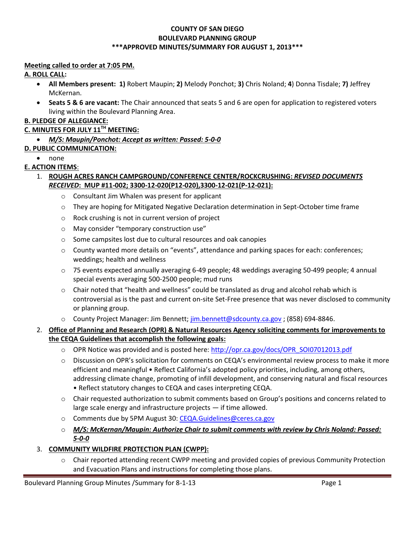#### **COUNTY OF SAN DIEGO BOULEVARD PLANNING GROUP \*\*\*APPROVED MINUTES/SUMMARY FOR AUGUST 1, 2013\*\*\***

#### **Meeting called to order at 7:05 PM.**

### **A. ROLL CALL:**

- **All Members present: 1)** Robert Maupin; **2)** Melody Ponchot; **3)** Chris Noland; **4**) Donna Tisdale; **7)** Jeffrey McKernan.
- **Seats 5 & 6 are vacant:** The Chair announced that seats 5 and 6 are open for application to registered voters living within the Boulevard Planning Area.

# **B. PLEDGE OF ALLEGIANCE:**

# **C. MINUTES FOR JULY 11TH MEETING:**

*M/S: Maupin/Ponchot: Accept as written: Passed: 5-0-0* 

# **D. PUBLIC COMMUNICATION:**

• none

# **E. ACTION ITEMS**:

### 1. **ROUGH ACRES RANCH CAMPGROUND/CONFERENCE CENTER/ROCKCRUSHING:** *REVISED DOCUMENTS RECEIVED***: MUP #11-002; 3300-12-020(P12-020),3300-12-021(P-12-021):**

- o Consultant Jim Whalen was present for applicant
- $\circ$  They are hoping for Mitigated Negative Declaration determination in Sept-October time frame
- o Rock crushing is not in current version of project
- o May consider "temporary construction use"
- o Some campsites lost due to cultural resources and oak canopies
- o County wanted more details on "events", attendance and parking spaces for each: conferences; weddings; health and wellness
- o 75 events expected annually averaging 6-49 people; 48 weddings averaging 50-499 people; 4 annual special events averaging 500-2500 people; mud runs
- $\circ$  Chair noted that "health and wellness" could be translated as drug and alcohol rehab which is controversial as is the past and current on-site Set-Free presence that was never disclosed to community or planning group.
- o County Project Manager: Jim Bennett; jim.bennett@sdcounty.ca.gov ; (858) 694-8846.

# 2. **Office of Planning and Research (OPR) & Natural Resources Agency soliciting comments for improvements to the CEQA Guidelines that accomplish the following goals:**

- o OPR Notice was provided and is posted here: http://opr.ca.gov/docs/OPR\_SOI07012013.pdf
- $\circ$  Discussion on OPR's solicitation for comments on CEQA's environmental review process to make it more efficient and meaningful • Reflect California's adopted policy priorities, including, among others, addressing climate change, promoting of infill development, and conserving natural and fiscal resources • Reflect statutory changes to CEQA and cases interpreting CEQA.
- o Chair requested authorization to submit comments based on Group's positions and concerns related to large scale energy and infrastructure projects — if time allowed.
- o Comments due by 5PM August 30: CEQA.Guidelines@ceres.ca.gov
- o *M/S: McKernan/Maupin: Authorize Chair to submit comments with review by Chris Noland: Passed: 5-0-0*

### 3. **COMMUNITY WILDFIRE PROTECTION PLAN (CWPP):**

o Chair reported attending recent CWPP meeting and provided copies of previous Community Protection and Evacuation Plans and instructions for completing those plans.

Boulevard Planning Group Minutes /Summary for 8-1-13 Page 1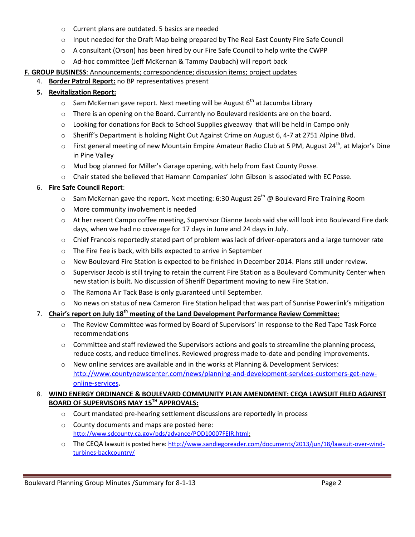- o Current plans are outdated. 5 basics are needed
- o Input needed for the Draft Map being prepared by The Real East County Fire Safe Council
- $\circ$  A consultant (Orson) has been hired by our Fire Safe Council to help write the CWPP
- o Ad-hoc committee (Jeff McKernan & Tammy Daubach) will report back

### **F. GROUP BUSINESS**: Announcements; correspondence; discussion items; project updates

4. **Border Patrol Report:** no BP representatives present

### **5. Revitalization Report:**

- $\circ$  Sam McKernan gave report. Next meeting will be August 6<sup>th</sup> at Jacumba Library
- o There is an opening on the Board. Currently no Boulevard residents are on the board.
- $\circ$  Looking for donations for Back to School Supplies giveaway that will be held in Campo only
- o Sheriff's Department is holding Night Out Against Crime on August 6, 4-7 at 2751 Alpine Blvd.
- $\circ$  First general meeting of new Mountain Empire Amateur Radio Club at 5 PM, August 24<sup>th</sup>, at Major's Dine in Pine Valley
- o Mud bog planned for Miller's Garage opening, with help from East County Posse.
- o Chair stated she believed that Hamann Companies' John Gibson is associated with EC Posse.

#### 6. **Fire Safe Council Report**:

- $\circ$  Sam McKernan gave the report. Next meeting: 6:30 August 26<sup>th</sup> @ Boulevard Fire Training Room
- o More community involvement is needed
- o At her recent Campo coffee meeting, Supervisor Dianne Jacob said she will look into Boulevard Fire dark days, when we had no coverage for 17 days in June and 24 days in July.
- $\circ$  Chief Francois reportedly stated part of problem was lack of driver-operators and a large turnover rate
- o The Fire Fee is back, with bills expected to arrive in September
- o New Boulevard Fire Station is expected to be finished in December 2014. Plans still under review.
- o Supervisor Jacob is still trying to retain the current Fire Station as a Boulevard Community Center when new station is built. No discussion of Sheriff Department moving to new Fire Station.
- o The Ramona Air Tack Base is only guaranteed until September.
- o No news on status of new Cameron Fire Station helipad that was part of Sunrise Powerlink's mitigation

### 7. **Chair's report on July 18th meeting of the Land Development Performance Review Committee:**

- o The Review Committee was formed by Board of Supervisors' in response to the Red Tape Task Force recommendations
- $\circ$  Committee and staff reviewed the Supervisors actions and goals to streamline the planning process, reduce costs, and reduce timelines. Reviewed progress made to-date and pending improvements.
- o New online services are available and in the works at Planning & Development Services: http://www.countynewscenter.com/news/planning-and-development-services-customers-get-newonline-services.

# 8. **WIND ENERGY ORDINANCE & BOULEVARD COMMUNITY PLAN AMENDMENT: CEQA LAWSUIT FILED AGAINST BOARD OF SUPERVISORS MAY 15TH APPROVALS:**

- o Court mandated pre-hearing settlement discussions are reportedly in process
- o County documents and maps are posted here: http://www.sdcounty.ca.gov/pds/advance/POD10007FEIR.html:
- o The CEQA lawsuit is posted here: http://www.sandiegoreader.com/documents/2013/jun/18/lawsuit-over-windturbines-backcountry/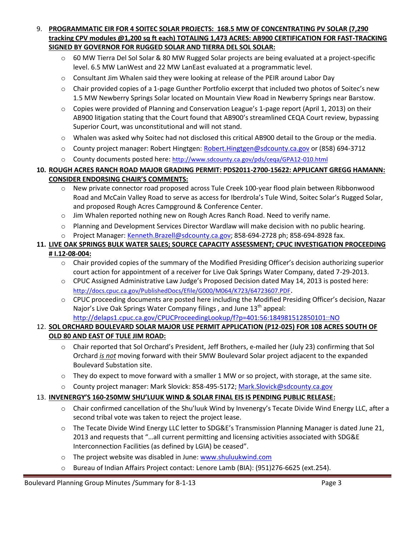- 9. **PROGRAMMATIC EIR FOR 4 SOITEC SOLAR PROJECTS: 168.5 MW OF CONCENTRATING PV SOLAR (7,290 tracking CPV modules @1,200 sq ft each) TOTALING 1,473 ACRES: AB900 CERTIFICATION FOR FAST-TRACKING SIGNED BY GOVERNOR FOR RUGGED SOLAR AND TIERRA DEL SOL SOLAR:** 
	- $\circ$  60 MW Tierra Del Sol Solar & 80 MW Rugged Solar projects are being evaluated at a project-specific level. 6.5 MW LanWest and 22 MW LanEast evaluated at a programmatic level.
	- o Consultant Jim Whalen said they were looking at release of the PEIR around Labor Day
	- o Chair provided copies of a 1-page Gunther Portfolio excerpt that included two photos of Soitec's new 1.5 MW Newberry Springs Solar located on Mountain View Road in Newberry Springs near Barstow.
	- $\circ$  Copies were provided of Planning and Conservation League's 1-page report (April 1, 2013) on their AB900 litigation stating that the Court found that AB900's streamlined CEQA Court review, bypassing Superior Court, was unconstitutional and will not stand.
	- o Whalen was asked why Soitec had not disclosed this critical AB900 detail to the Group or the media.
	- o County project manager: Robert Hingtgen: Robert.Hingtgen@sdcounty.ca.gov or (858) 694-3712
	- o County documents posted here: http://www.sdcounty.ca.gov/pds/ceqa/GPA12-010.html

### **10. ROUGH ACRES RANCH ROAD MAJOR GRADING PERMIT: PDS2011-2700-15622: APPLICANT GREGG HAMANN: CONSIDER ENDORSING CHAIR'S COMMENTS:**

- o New private connector road proposed across Tule Creek 100-year flood plain between Ribbonwood Road and McCain Valley Road to serve as access for Iberdrola's Tule Wind, Soitec Solar's Rugged Solar, and proposed Rough Acres Campground & Conference Center.
- o Jim Whalen reported nothing new on Rough Acres Ranch Road. Need to verify name.
- o Planning and Development Services Director Wardlaw will make decision with no public hearing.
- o Project Manager: Kenneth.Brazell@sdcounty.ca.gov; 858-694-2728 ph; 858-694-8928 fax.

#### **11. LIVE OAK SPRINGS BULK WATER SALES; SOURCE CAPACITY ASSESSMENT; CPUC INVESTIGATION PROCEEDING # I.12-08-004:**

- $\circ$  Chair provided copies of the summary of the Modified Presiding Officer's decision authorizing superior court action for appointment of a receiver for Live Oak Springs Water Company, dated 7-29-2013.
- o CPUC Assigned Administrative Law Judge's Proposed Decision dated May 14, 2013 is posted here: http://docs.cpuc.ca.gov/PublishedDocs/Efile/G000/M064/K723/64723607.PDF.
- o CPUC proceeding documents are posted here including the Modified Presiding Officer's decision, Nazar Najor's Live Oak Springs Water Company filings, and June 13<sup>th</sup> appeal: http://delaps1.cpuc.ca.gov/CPUCProceedingLookup/f?p=401:56:184981512850101::NO

# 12. **SOL ORCHARD BOULEVARD SOLAR MAJOR USE PERMIT APPLICATION (P12-025) FOR 108 ACRES SOUTH OF OLD 80 AND EAST OF TULE JIM ROAD:**

- o Chair reported that Sol Orchard's President, Jeff Brothers, e-mailed her (July 23) confirming that Sol Orchard *is not* moving forward with their 5MW Boulevard Solar project adjacent to the expanded Boulevard Substation site.
- $\circ$  They do expect to move forward with a smaller 1 MW or so project, with storage, at the same site.
- o County project manager: Mark Slovick: 858-495-5172; Mark.Slovick@sdcounty.ca.gov

### 13. **INVENERGY'S 160-250MW SHU'LUUK WIND & SOLAR FINAL EIS IS PENDING PUBLIC RELEASE:**

- o Chair confirmed cancellation of the Shu'luuk Wind by Invenergy's Tecate Divide Wind Energy LLC, after a second tribal vote was taken to reject the project lease.
- o The Tecate Divide Wind Energy LLC letter to SDG&E's Transmission Planning Manager is dated June 21, 2013 and requests that "…all current permitting and licensing activities associated with SDG&E Interconnection Facilities (as defined by LGIA) be ceased".
- o The project website was disabled in June: www.shuluukwind.com
- o Bureau of Indian Affairs Project contact: Lenore Lamb (BIA): (951)276-6625 (ext.254).